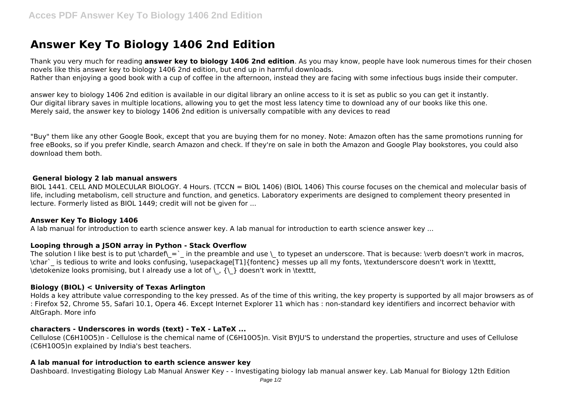# **Answer Key To Biology 1406 2nd Edition**

Thank you very much for reading **answer key to biology 1406 2nd edition**. As you may know, people have look numerous times for their chosen novels like this answer key to biology 1406 2nd edition, but end up in harmful downloads. Rather than enjoying a good book with a cup of coffee in the afternoon, instead they are facing with some infectious bugs inside their computer.

answer key to biology 1406 2nd edition is available in our digital library an online access to it is set as public so you can get it instantly. Our digital library saves in multiple locations, allowing you to get the most less latency time to download any of our books like this one. Merely said, the answer key to biology 1406 2nd edition is universally compatible with any devices to read

"Buy" them like any other Google Book, except that you are buying them for no money. Note: Amazon often has the same promotions running for free eBooks, so if you prefer Kindle, search Amazon and check. If they're on sale in both the Amazon and Google Play bookstores, you could also download them both.

#### **General biology 2 lab manual answers**

BIOL 1441. CELL AND MOLECULAR BIOLOGY. 4 Hours. (TCCN = BIOL 1406) (BIOL 1406) This course focuses on the chemical and molecular basis of life, including metabolism, cell structure and function, and genetics. Laboratory experiments are designed to complement theory presented in lecture. Formerly listed as BIOL 1449; credit will not be given for ...

### **Answer Key To Biology 1406**

A lab manual for introduction to earth science answer key. A lab manual for introduction to earth science answer key ...

### **Looping through a JSON array in Python - Stack Overflow**

The solution I like best is to put \chardef\ = ` in the preamble and use \ to typeset an underscore. That is because: \verb doesn't work in macros, \char`\_ is tedious to write and looks confusing, \usepackage[T1]{fontenc} messes up all my fonts, \textunderscore doesn't work in \texttt, \detokenize looks promising, but I already use a lot of \\_, {\\_} doesn't work in \texttt,

# **Biology (BIOL) < University of Texas Arlington**

Holds a key attribute value corresponding to the key pressed. As of the time of this writing, the key property is supported by all major browsers as of : Firefox 52, Chrome 55, Safari 10.1, Opera 46. Except Internet Explorer 11 which has : non-standard key identifiers and incorrect behavior with AltGraph. More info

# **characters - Underscores in words (text) - TeX - LaTeX ...**

Cellulose (C6H10O5)n - Cellulose is the chemical name of (C6H10O5)n. Visit BYJU'S to understand the properties, structure and uses of Cellulose (C6H10O5)n explained by India's best teachers.

# **A lab manual for introduction to earth science answer key**

Dashboard. Investigating Biology Lab Manual Answer Key - - Investigating biology lab manual answer key. Lab Manual for Biology 12th Edition